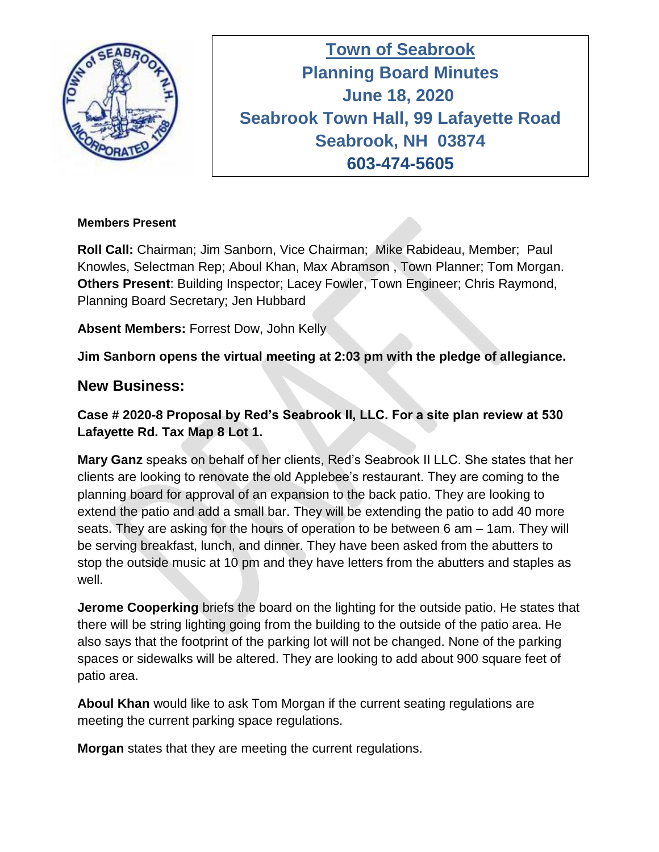

**Town of Seabrook Planning Board Minutes Tuesday April 16, 2019 June 18, 2020 Seabrook Town Hall, 99 Lafayette Road Seabrook, NH 03874 603-474-5605**

## **Members Present**

**Roll Call:** Chairman; Jim Sanborn, Vice Chairman; Mike Rabideau, Member; Paul Knowles, Selectman Rep; Aboul Khan, Max Abramson , Town Planner; Tom Morgan. **Others Present**: Building Inspector; Lacey Fowler, Town Engineer; Chris Raymond, Planning Board Secretary; Jen Hubbard

**Absent Members:** Forrest Dow, John Kelly

**Jim Sanborn opens the virtual meeting at 2:03 pm with the pledge of allegiance.** 

## **New Business:**

**Case # 2020-8 Proposal by Red's Seabrook II, LLC. For a site plan review at 530 Lafayette Rd. Tax Map 8 Lot 1.**

**Mary Ganz** speaks on behalf of her clients, Red's Seabrook II LLC. She states that her clients are looking to renovate the old Applebee's restaurant. They are coming to the planning board for approval of an expansion to the back patio. They are looking to extend the patio and add a small bar. They will be extending the patio to add 40 more seats. They are asking for the hours of operation to be between 6 am – 1am. They will be serving breakfast, lunch, and dinner. They have been asked from the abutters to stop the outside music at 10 pm and they have letters from the abutters and staples as well.

**Jerome Cooperking** briefs the board on the lighting for the outside patio. He states that there will be string lighting going from the building to the outside of the patio area. He also says that the footprint of the parking lot will not be changed. None of the parking spaces or sidewalks will be altered. They are looking to add about 900 square feet of patio area.

**Aboul Khan** would like to ask Tom Morgan if the current seating regulations are meeting the current parking space regulations.

**Morgan** states that they are meeting the current regulations.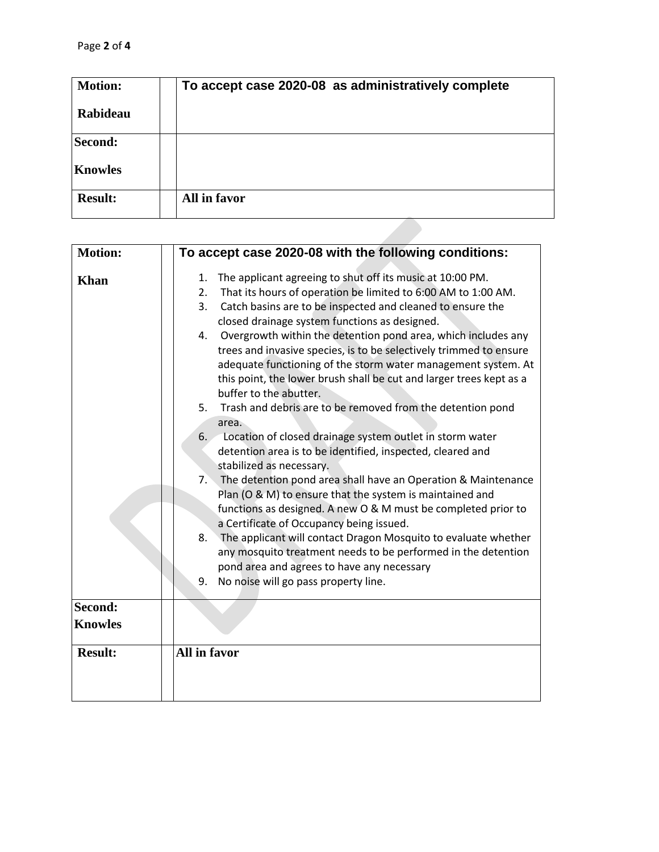| <b>Motion:</b> | To accept case 2020-08 as administratively complete |
|----------------|-----------------------------------------------------|
| Rabideau       |                                                     |
| Second:        |                                                     |
| <b>Knowles</b> |                                                     |
| <b>Result:</b> | All in favor                                        |

| <b>Motion:</b> | To accept case 2020-08 with the following conditions:                                                                                                                                                                                                                                                                                                                                                                                                                                                                                                                      |
|----------------|----------------------------------------------------------------------------------------------------------------------------------------------------------------------------------------------------------------------------------------------------------------------------------------------------------------------------------------------------------------------------------------------------------------------------------------------------------------------------------------------------------------------------------------------------------------------------|
| <b>Khan</b>    | The applicant agreeing to shut off its music at 10:00 PM.<br>1.<br>That its hours of operation be limited to 6:00 AM to 1:00 AM.<br>2.<br>3.<br>Catch basins are to be inspected and cleaned to ensure the<br>closed drainage system functions as designed.<br>Overgrowth within the detention pond area, which includes any<br>4.<br>trees and invasive species, is to be selectively trimmed to ensure<br>adequate functioning of the storm water management system. At<br>this point, the lower brush shall be cut and larger trees kept as a<br>buffer to the abutter. |
|                | 5.<br>Trash and debris are to be removed from the detention pond<br>area.<br>Location of closed drainage system outlet in storm water<br>6.<br>detention area is to be identified, inspected, cleared and<br>stabilized as necessary.<br>The detention pond area shall have an Operation & Maintenance<br>7.<br>Plan (O & M) to ensure that the system is maintained and<br>functions as designed. A new O & M must be completed prior to<br>a Certificate of Occupancy being issued.                                                                                      |
|                | 8.<br>The applicant will contact Dragon Mosquito to evaluate whether<br>any mosquito treatment needs to be performed in the detention<br>pond area and agrees to have any necessary<br>9.<br>No noise will go pass property line.                                                                                                                                                                                                                                                                                                                                          |
| Second:        |                                                                                                                                                                                                                                                                                                                                                                                                                                                                                                                                                                            |
| <b>Knowles</b> |                                                                                                                                                                                                                                                                                                                                                                                                                                                                                                                                                                            |
| <b>Result:</b> | All in favor                                                                                                                                                                                                                                                                                                                                                                                                                                                                                                                                                               |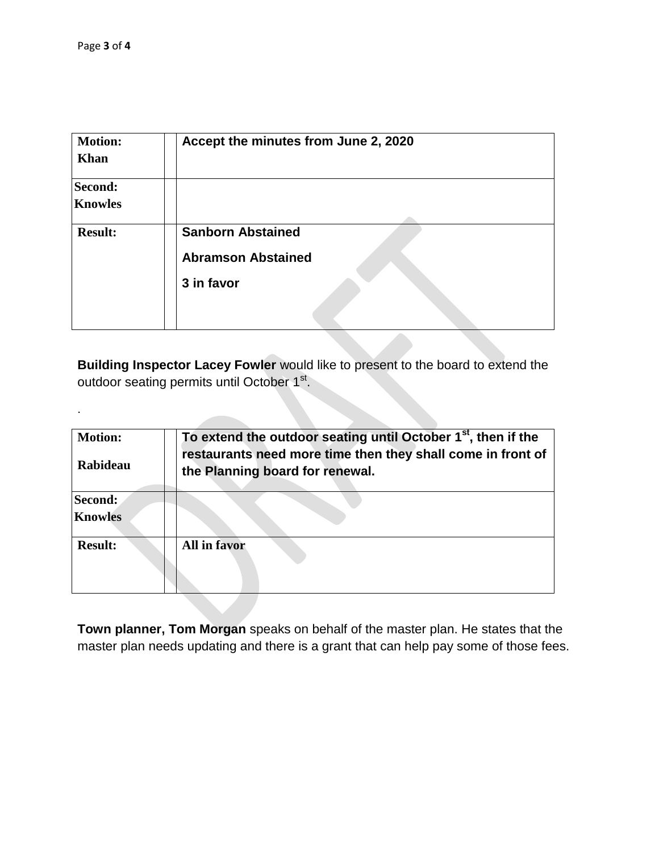.

| <b>Motion:</b> | Accept the minutes from June 2, 2020                  |
|----------------|-------------------------------------------------------|
| <b>Khan</b>    |                                                       |
| Second:        |                                                       |
| <b>Knowles</b> |                                                       |
| <b>Result:</b> | <b>Sanborn Abstained</b><br><b>Abramson Abstained</b> |
|                | 3 in favor                                            |
|                |                                                       |

**Building Inspector Lacey Fowler** would like to present to the board to extend the outdoor seating permits until October 1<sup>st</sup>.

| <b>Motion:</b><br><b>Rabideau</b> | To extend the outdoor seating until October $1st$ , then if the<br>restaurants need more time then they shall come in front of<br>the Planning board for renewal. |
|-----------------------------------|-------------------------------------------------------------------------------------------------------------------------------------------------------------------|
| Second:<br><b>Knowles</b>         |                                                                                                                                                                   |
| <b>Result:</b>                    | All in favor                                                                                                                                                      |

**Town planner, Tom Morgan** speaks on behalf of the master plan. He states that the master plan needs updating and there is a grant that can help pay some of those fees.